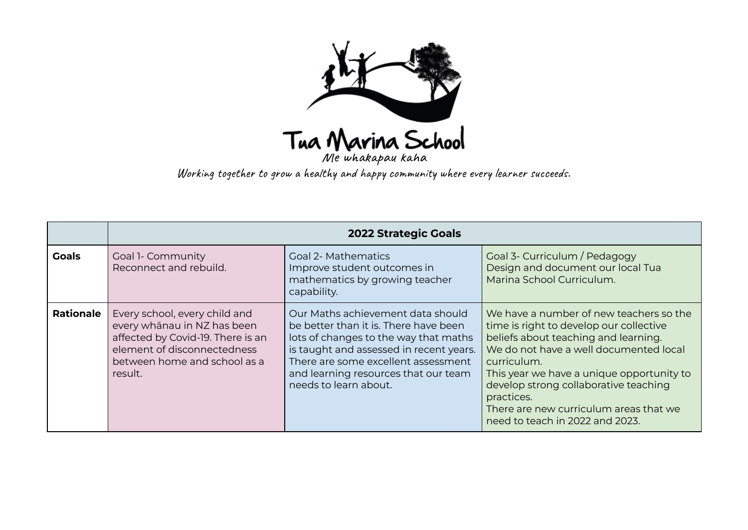

Working together to grow a healthy and happy community where every learner succeeds.

|                  | <b>2022 Strategic Goals</b>                                                                                                                                                 |                                                                                                                                                                                                                                                                        |                                                                                                                                                                                                                                                                                                                                                                      |  |
|------------------|-----------------------------------------------------------------------------------------------------------------------------------------------------------------------------|------------------------------------------------------------------------------------------------------------------------------------------------------------------------------------------------------------------------------------------------------------------------|----------------------------------------------------------------------------------------------------------------------------------------------------------------------------------------------------------------------------------------------------------------------------------------------------------------------------------------------------------------------|--|
| <b>Goals</b>     | <b>Goal 1- Community</b><br>Reconnect and rebuild.                                                                                                                          | <b>Goal 2- Mathematics</b><br>Improve student outcomes in<br>mathematics by growing teacher<br>capability.                                                                                                                                                             | Goal 3- Curriculum / Pedagogy<br>Design and document our local Tua<br>Marina School Curriculum.                                                                                                                                                                                                                                                                      |  |
| <b>Rationale</b> | Every school, every child and<br>every whānau in NZ has been<br>affected by Covid-19. There is an<br>element of disconnectedness<br>between home and school as a<br>result. | Our Maths achievement data should<br>be better than it is. There have been<br>lots of changes to the way that maths<br>is taught and assessed in recent years.<br>There are some excellent assessment<br>and learning resources that our team<br>needs to learn about. | We have a number of new teachers so the<br>time is right to develop our collective<br>beliefs about teaching and learning.<br>We do not have a well documented local<br>curriculum.<br>This year we have a unique opportunity to<br>develop strong collaborative teaching<br>practices.<br>There are new curriculum areas that we<br>need to teach in 2022 and 2023. |  |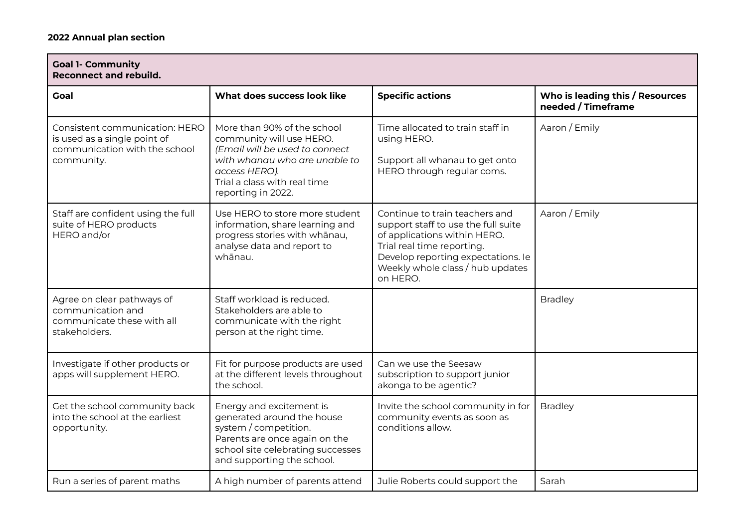| <b>Goal 1- Community</b><br><b>Reconnect and rebuild.</b>                                                     |                                                                                                                                                                                                   |                                                                                                                                                                                                                           |                                                       |  |
|---------------------------------------------------------------------------------------------------------------|---------------------------------------------------------------------------------------------------------------------------------------------------------------------------------------------------|---------------------------------------------------------------------------------------------------------------------------------------------------------------------------------------------------------------------------|-------------------------------------------------------|--|
| <b>Goal</b>                                                                                                   | What does success look like                                                                                                                                                                       | <b>Specific actions</b>                                                                                                                                                                                                   | Who is leading this / Resources<br>needed / Timeframe |  |
| Consistent communication: HERO<br>is used as a single point of<br>communication with the school<br>community. | More than 90% of the school<br>community will use HERO.<br>(Email will be used to connect<br>with whanau who are unable to<br>access HERO).<br>Trial a class with real time<br>reporting in 2022. | Time allocated to train staff in<br>using HERO.<br>Support all whanau to get onto<br>HERO through regular coms.                                                                                                           | Aaron / Emily                                         |  |
| Staff are confident using the full<br>suite of HERO products<br>HERO and/or                                   | Use HERO to store more student<br>information, share learning and<br>progress stories with whānau,<br>analyse data and report to<br>whānau.                                                       | Continue to train teachers and<br>support staff to use the full suite<br>of applications within HERO.<br>Trial real time reporting.<br>Develop reporting expectations. le<br>Weekly whole class / hub updates<br>on HERO. | Aaron / Emily                                         |  |
| Agree on clear pathways of<br>communication and<br>communicate these with all<br>stakeholders.                | Staff workload is reduced.<br>Stakeholders are able to<br>communicate with the right<br>person at the right time.                                                                                 |                                                                                                                                                                                                                           | <b>Bradley</b>                                        |  |
| Investigate if other products or<br>apps will supplement HERO.                                                | Fit for purpose products are used<br>at the different levels throughout<br>the school.                                                                                                            | Can we use the Seesaw<br>subscription to support junior<br>akonga to be agentic?                                                                                                                                          |                                                       |  |
| Get the school community back<br>into the school at the earliest<br>opportunity.                              | Energy and excitement is<br>generated around the house<br>system / competition.<br>Parents are once again on the<br>school site celebrating successes<br>and supporting the school.               | Invite the school community in for<br>community events as soon as<br>conditions allow.                                                                                                                                    | <b>Bradley</b>                                        |  |
| Run a series of parent maths                                                                                  | A high number of parents attend                                                                                                                                                                   | Julie Roberts could support the                                                                                                                                                                                           | Sarah                                                 |  |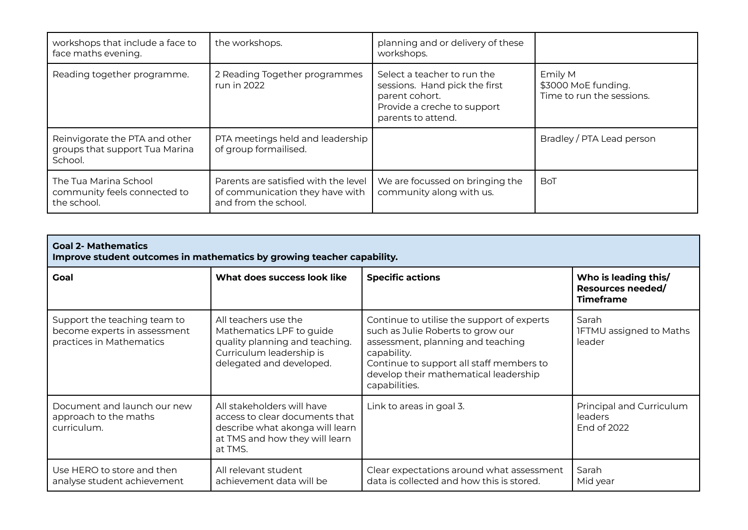| workshops that include a face to<br>face maths evening.                     | the workshops.                                                                                  | planning and or delivery of these<br>workshops.                                                                                     |                                                             |
|-----------------------------------------------------------------------------|-------------------------------------------------------------------------------------------------|-------------------------------------------------------------------------------------------------------------------------------------|-------------------------------------------------------------|
| Reading together programme.                                                 | 2 Reading Together programmes<br>run in 2022                                                    | Select a teacher to run the<br>sessions. Hand pick the first<br>parent cohort.<br>Provide a creche to support<br>parents to attend. | Emily M<br>\$3000 MoE funding.<br>Time to run the sessions. |
| Reinvigorate the PTA and other<br>groups that support Tua Marina<br>School. | PTA meetings held and leadership<br>of group formailised.                                       |                                                                                                                                     | Bradley / PTA Lead person                                   |
| The Tua Marina School<br>community feels connected to<br>the school.        | Parents are satisfied with the level<br>of communication they have with<br>and from the school. | We are focussed on bringing the<br>community along with us.                                                                         | <b>BoT</b>                                                  |

| <b>Goal 2- Mathematics</b><br>Improve student outcomes in mathematics by growing teacher capability. |                                                                                                                                              |                                                                                                                                                                                                                                           |                                                                      |
|------------------------------------------------------------------------------------------------------|----------------------------------------------------------------------------------------------------------------------------------------------|-------------------------------------------------------------------------------------------------------------------------------------------------------------------------------------------------------------------------------------------|----------------------------------------------------------------------|
| Goal                                                                                                 | What does success look like                                                                                                                  | <b>Specific actions</b>                                                                                                                                                                                                                   | Who is leading this/<br><b>Resources needed/</b><br><b>Timeframe</b> |
| Support the teaching team to<br>become experts in assessment<br>practices in Mathematics             | All teachers use the<br>Mathematics LPF to guide<br>quality planning and teaching.<br>Curriculum leadership is<br>delegated and developed.   | Continue to utilise the support of experts<br>such as Julie Roberts to grow our<br>assessment, planning and teaching<br>capability.<br>Continue to support all staff members to<br>develop their mathematical leadership<br>capabilities. | Sarah<br><b>IFTMU</b> assigned to Maths<br>leader                    |
| Document and launch our new<br>approach to the maths<br>curriculum.                                  | All stakeholders will have<br>access to clear documents that<br>describe what akonga will learn<br>at TMS and how they will learn<br>at TMS. | Link to areas in goal 3.                                                                                                                                                                                                                  | Principal and Curriculum<br>leaders<br>End of 2022                   |
| Use HERO to store and then<br>analyse student achievement                                            | All relevant student<br>achievement data will be                                                                                             | Clear expectations around what assessment<br>data is collected and how this is stored.                                                                                                                                                    | Sarah<br>Mid year                                                    |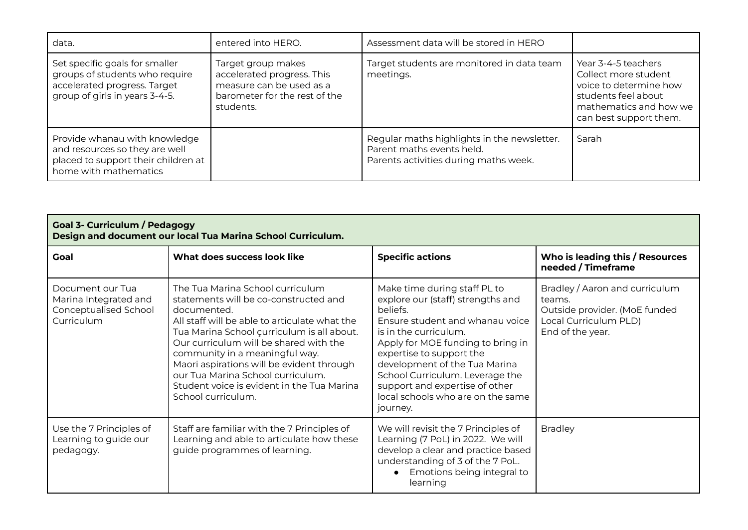| data.                                                                                                                              | entered into HERO.                                                                                                         | Assessment data will be stored in HERO                                                                            |                                                                                                                                                  |
|------------------------------------------------------------------------------------------------------------------------------------|----------------------------------------------------------------------------------------------------------------------------|-------------------------------------------------------------------------------------------------------------------|--------------------------------------------------------------------------------------------------------------------------------------------------|
| Set specific goals for smaller<br>groups of students who require<br>accelerated progress. Target<br>group of girls in years 3-4-5. | Target group makes<br>accelerated progress. This<br>measure can be used as a<br>barometer for the rest of the<br>students. | Target students are monitored in data team<br>meetings.                                                           | Year 3-4-5 teachers<br>Collect more student<br>voice to determine how<br>students feel about<br>mathematics and how we<br>can best support them. |
| Provide whanau with knowledge<br>and resources so they are well<br>placed to support their children at<br>home with mathematics    |                                                                                                                            | Regular maths highlights in the newsletter.<br>Parent maths events held.<br>Parents activities during maths week. | Sarah                                                                                                                                            |

## **Goal 3- Curriculum / Pedagogy Design and document our local Tua Marina School Curriculum.**

| <b>Goal</b>                                                                      | What does success look like                                                                                                                                                                                                                                                                                                                                                                                               | <b>Specific actions</b>                                                                                                                                                                                                                                                                                                                                           | Who is leading this / Resources<br>needed / Timeframe                                                                  |
|----------------------------------------------------------------------------------|---------------------------------------------------------------------------------------------------------------------------------------------------------------------------------------------------------------------------------------------------------------------------------------------------------------------------------------------------------------------------------------------------------------------------|-------------------------------------------------------------------------------------------------------------------------------------------------------------------------------------------------------------------------------------------------------------------------------------------------------------------------------------------------------------------|------------------------------------------------------------------------------------------------------------------------|
| Document our Tua<br>Marina Integrated and<br>Conceptualised School<br>Curriculum | The Tua Marina School curriculum<br>statements will be co-constructed and<br>documented.<br>All staff will be able to articulate what the<br>Tua Marina School çurriculum is all about.<br>Our curriculum will be shared with the<br>community in a meaningful way.<br>Maori aspirations will be evident through<br>our Tua Marina School curriculum.<br>Student voice is evident in the Tua Marina<br>School curriculum. | Make time during staff PL to<br>explore our (staff) strengths and<br>beliefs.<br>Ensure student and whanau voice<br>is in the curriculum.<br>Apply for MOE funding to bring in<br>expertise to support the<br>development of the Tua Marina<br>School Curriculum. Leverage the<br>support and expertise of other<br>local schools who are on the same<br>journey. | Bradley / Aaron and curriculum<br>teams.<br>Outside provider. (MoE funded<br>Local Curriculum PLD)<br>End of the year. |
| Use the 7 Principles of<br>Learning to guide our<br>pedagogy.                    | Staff are familiar with the 7 Principles of<br>Learning and able to articulate how these<br>guide programmes of learning.                                                                                                                                                                                                                                                                                                 | We will revisit the 7 Principles of<br>Learning (7 PoL) in 2022. We will<br>develop a clear and practice based<br>understanding of 3 of the 7 PoL.<br>Emotions being integral to<br>learning                                                                                                                                                                      | <b>Bradley</b>                                                                                                         |